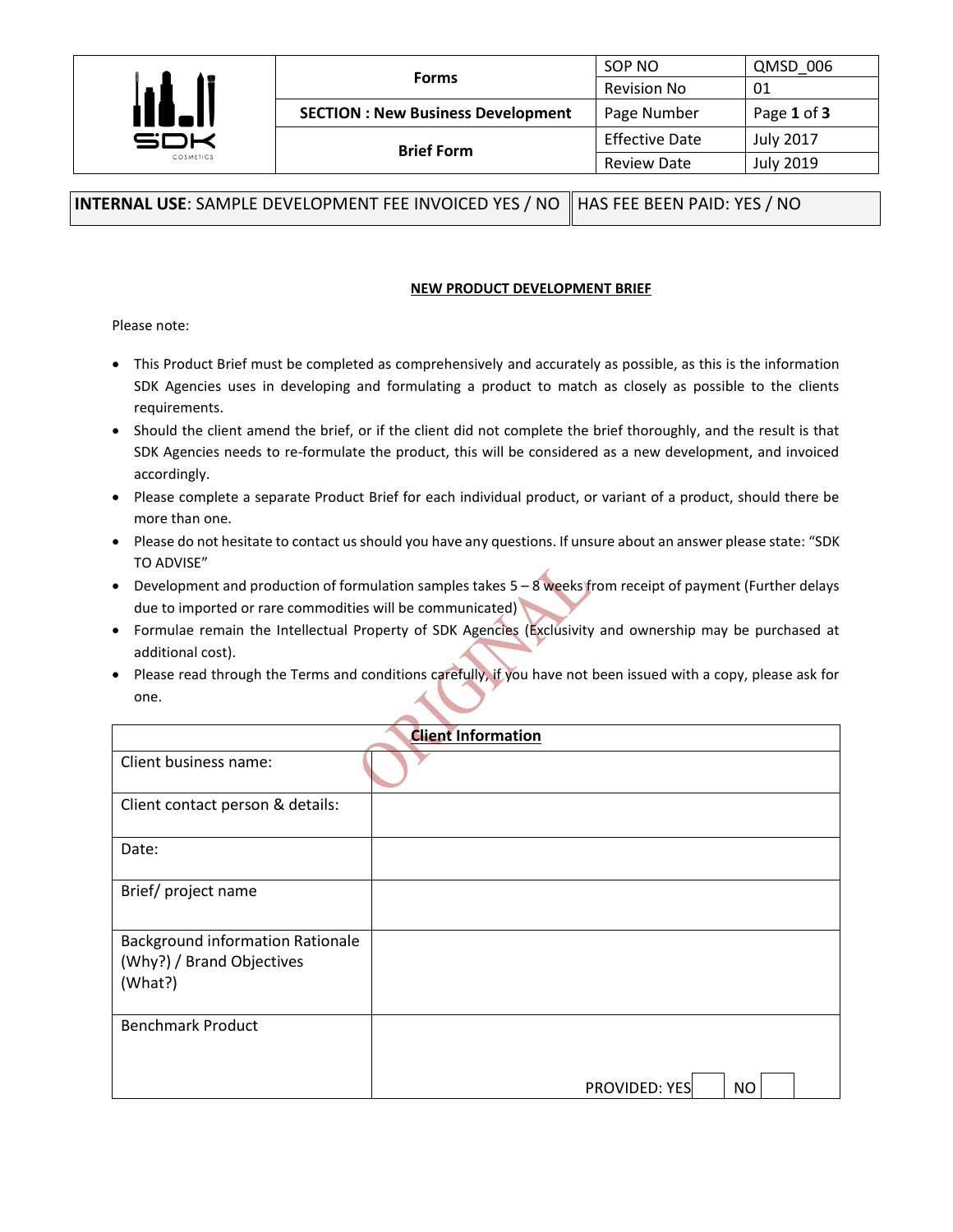|              | <b>Forms</b>                             | SOP NO                | QMSD 006         |
|--------------|------------------------------------------|-----------------------|------------------|
|              |                                          | <b>Revision No</b>    | 01               |
| <b>14.II</b> | <b>SECTION: New Business Development</b> | Page Number           | Page 1 of 3      |
| COSMETICS    | <b>Brief Form</b>                        | <b>Effective Date</b> | <b>July 2017</b> |
|              |                                          | <b>Review Date</b>    | <b>July 2019</b> |

**INTERNAL USE**: SAMPLE DEVELOPMENT FEE INVOICED YES / NO HAS FEE BEEN PAID: YES / NO

## **NEW PRODUCT DEVELOPMENT BRIEF**

Please note:

- This Product Brief must be completed as comprehensively and accurately as possible, as this is the information SDK Agencies uses in developing and formulating a product to match as closely as possible to the clients requirements.
- Should the client amend the brief, or if the client did not complete the brief thoroughly, and the result is that SDK Agencies needs to re-formulate the product, this will be considered as a new development, and invoiced accordingly.
- Please complete a separate Product Brief for each individual product, or variant of a product, should there be more than one.
- Please do not hesitate to contact us should you have any questions. If unsure about an answer please state: "SDK TO ADVISE"
- Development and production of formulation samples takes 5 8 weeks from receipt of payment (Further delays due to imported or rare commodities will be communicated)
- Formulae remain the Intellectual Property of SDK Agencies (Exclusivity and ownership may be purchased at additional cost).
- Please read through the Terms and conditions carefully, if you have not been issued with a copy, please ask for one.

| <b>Client Information</b>                                                       |                            |
|---------------------------------------------------------------------------------|----------------------------|
| Client business name:                                                           |                            |
| Client contact person & details:                                                |                            |
| Date:                                                                           |                            |
| Brief/project name                                                              |                            |
| <b>Background information Rationale</b><br>(Why?) / Brand Objectives<br>(What?) |                            |
| <b>Benchmark Product</b>                                                        |                            |
|                                                                                 | <b>PROVIDED: YES</b><br>NO |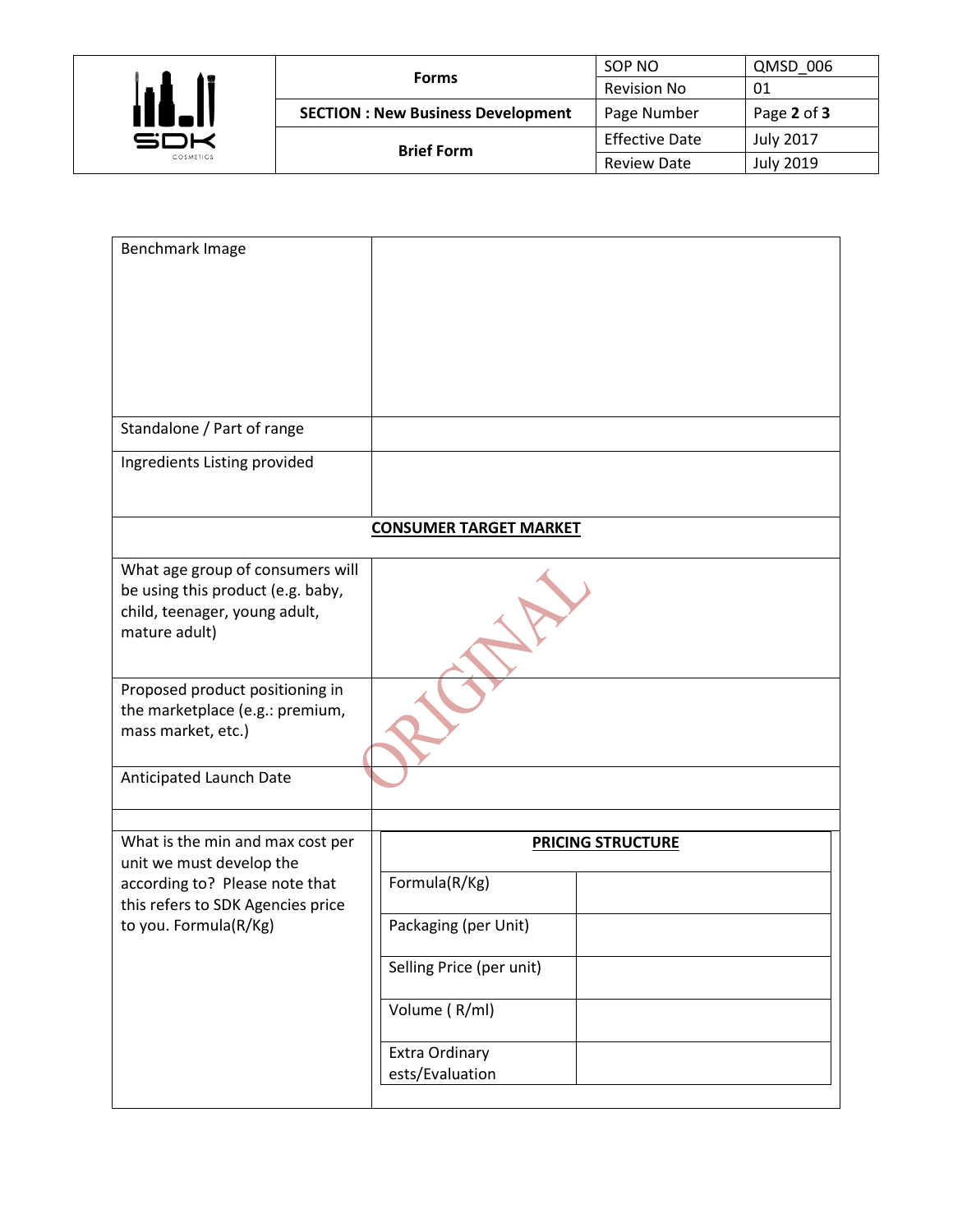

| <b>Forms</b>                             | SOP NO                | QMSD 006         |
|------------------------------------------|-----------------------|------------------|
|                                          | <b>Revision No</b>    | 01               |
| <b>SECTION: New Business Development</b> | Page Number           | Page 2 of 3      |
| <b>Brief Form</b>                        | <b>Effective Date</b> | <b>July 2017</b> |
|                                          | <b>Review Date</b>    | <b>July 2019</b> |

| Benchmark Image                                                                                                                     |                                           |
|-------------------------------------------------------------------------------------------------------------------------------------|-------------------------------------------|
| Standalone / Part of range                                                                                                          |                                           |
| Ingredients Listing provided                                                                                                        |                                           |
|                                                                                                                                     | <b>CONSUMER TARGET MARKET</b>             |
| What age group of consumers will<br>be using this product (e.g. baby,<br>child, teenager, young adult,<br>mature adult)             |                                           |
| Proposed product positioning in<br>the marketplace (e.g.: premium,<br>mass market, etc.)                                            |                                           |
| Anticipated Launch Date                                                                                                             |                                           |
| What is the min and max cost per<br>unit we must develop the<br>according to? Please note that<br>this refers to SDK Agencies price | <b>PRICING STRUCTURE</b><br>Formula(R/Kg) |
| to you. Formula(R/Kg)                                                                                                               | Packaging (per Unit)                      |
|                                                                                                                                     | Selling Price (per unit)                  |
|                                                                                                                                     | Volume (R/ml)                             |
|                                                                                                                                     | Extra Ordinary<br>ests/Evaluation         |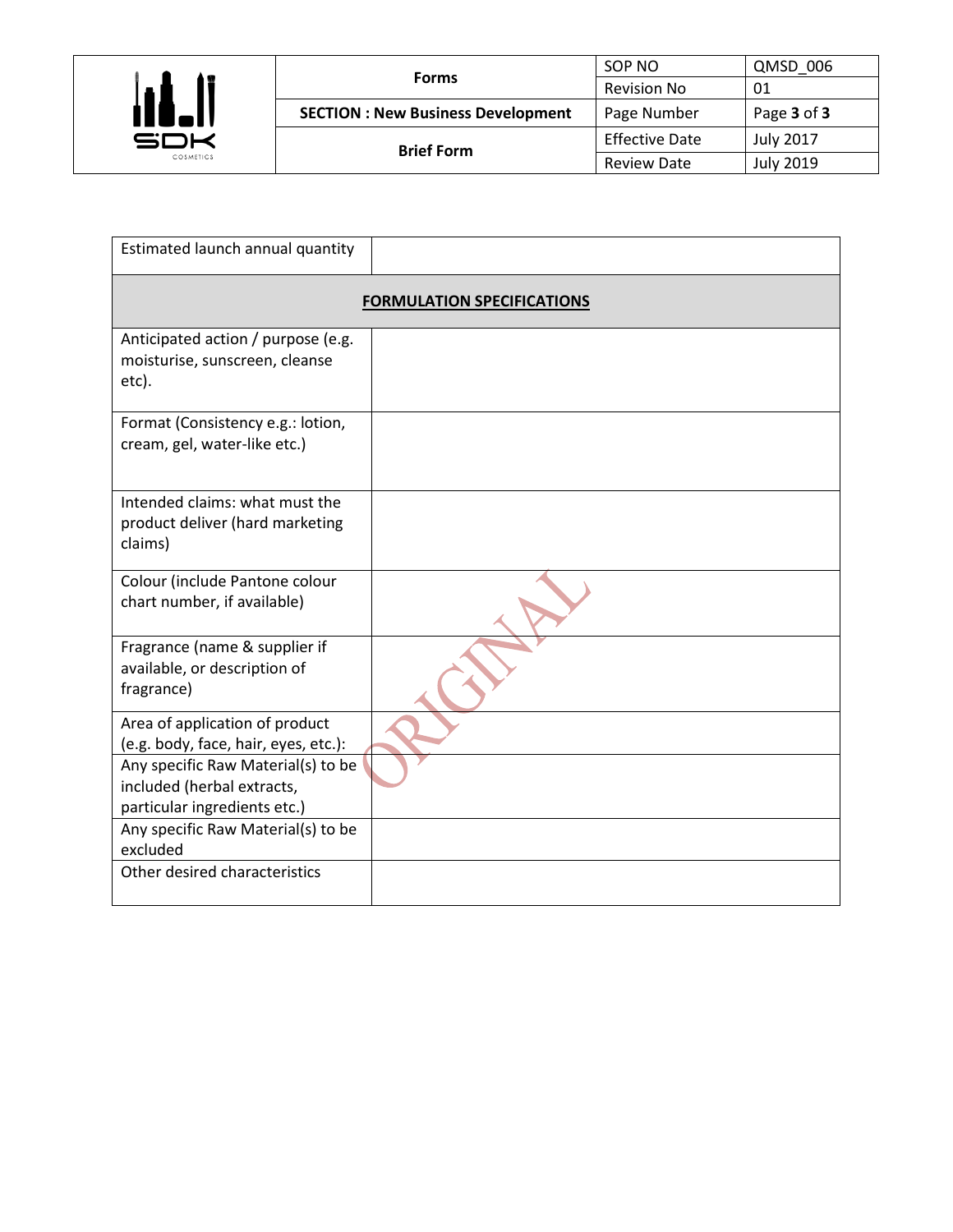

|                                          | SOP NO                | QMSD 006         |
|------------------------------------------|-----------------------|------------------|
| <b>Forms</b>                             | <b>Revision No</b>    | 01               |
| <b>SECTION: New Business Development</b> | Page Number           | Page 3 of 3      |
| <b>Brief Form</b>                        | <b>Effective Date</b> | <b>July 2017</b> |
|                                          | <b>Review Date</b>    | <b>July 2019</b> |

| Estimated launch annual quantity                                              |  |
|-------------------------------------------------------------------------------|--|
| <b>FORMULATION SPECIFICATIONS</b>                                             |  |
| Anticipated action / purpose (e.g.<br>moisturise, sunscreen, cleanse<br>etc). |  |
| Format (Consistency e.g.: lotion,<br>cream, gel, water-like etc.)             |  |
| Intended claims: what must the<br>product deliver (hard marketing<br>claims)  |  |
| Colour (include Pantone colour<br>chart number, if available)                 |  |
| Fragrance (name & supplier if<br>available, or description of<br>fragrance)   |  |
| Area of application of product<br>(e.g. body, face, hair, eyes, etc.):        |  |
| Any specific Raw Material(s) to be<br>included (herbal extracts,              |  |
| particular ingredients etc.)<br>Any specific Raw Material(s) to be            |  |
| excluded<br>Other desired characteristics                                     |  |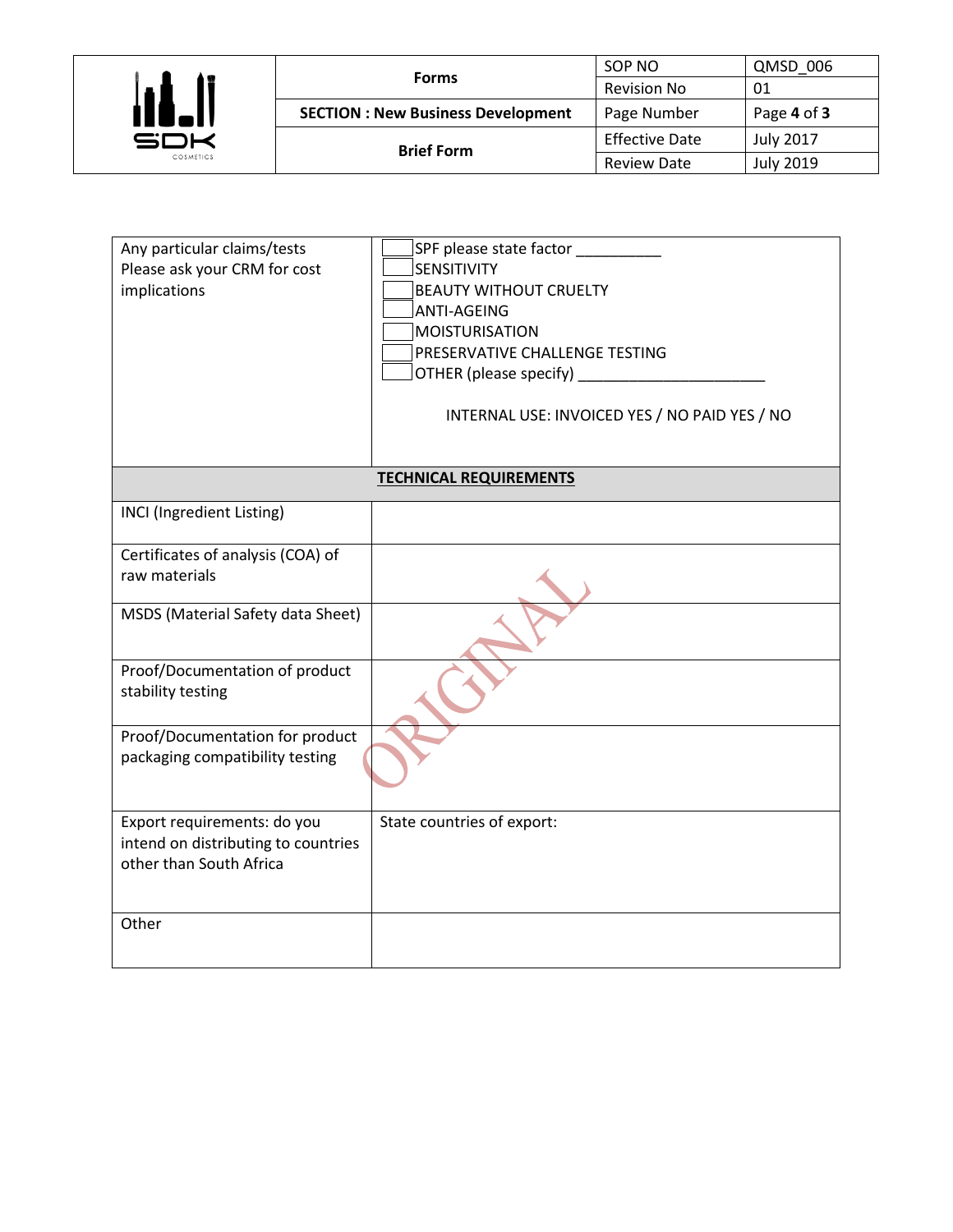

|                                          | SOP NO                | QMSD 006         |
|------------------------------------------|-----------------------|------------------|
| <b>Forms</b>                             | <b>Revision No</b>    | 01               |
| <b>SECTION: New Business Development</b> | Page Number           | Page 4 of 3      |
| <b>Brief Form</b>                        | <b>Effective Date</b> | <b>July 2017</b> |
|                                          | <b>Review Date</b>    | <b>July 2019</b> |

| Any particular claims/tests<br>Please ask your CRM for cost<br>implications                   | SPF please state factor<br>SENSITIVITY<br><b>BEAUTY WITHOUT CRUELTY</b><br>ANTI-AGEING<br>MOISTURISATION<br>PRESERVATIVE CHALLENGE TESTING<br>INTERNAL USE: INVOICED YES / NO PAID YES / NO |
|-----------------------------------------------------------------------------------------------|---------------------------------------------------------------------------------------------------------------------------------------------------------------------------------------------|
|                                                                                               |                                                                                                                                                                                             |
|                                                                                               | <b>TECHNICAL REQUIREMENTS</b>                                                                                                                                                               |
| <b>INCI</b> (Ingredient Listing)                                                              |                                                                                                                                                                                             |
| Certificates of analysis (COA) of                                                             |                                                                                                                                                                                             |
| raw materials                                                                                 |                                                                                                                                                                                             |
| MSDS (Material Safety data Sheet)                                                             |                                                                                                                                                                                             |
| Proof/Documentation of product<br>stability testing                                           |                                                                                                                                                                                             |
| Proof/Documentation for product<br>packaging compatibility testing                            |                                                                                                                                                                                             |
| Export requirements: do you<br>intend on distributing to countries<br>other than South Africa | State countries of export:                                                                                                                                                                  |
| Other                                                                                         |                                                                                                                                                                                             |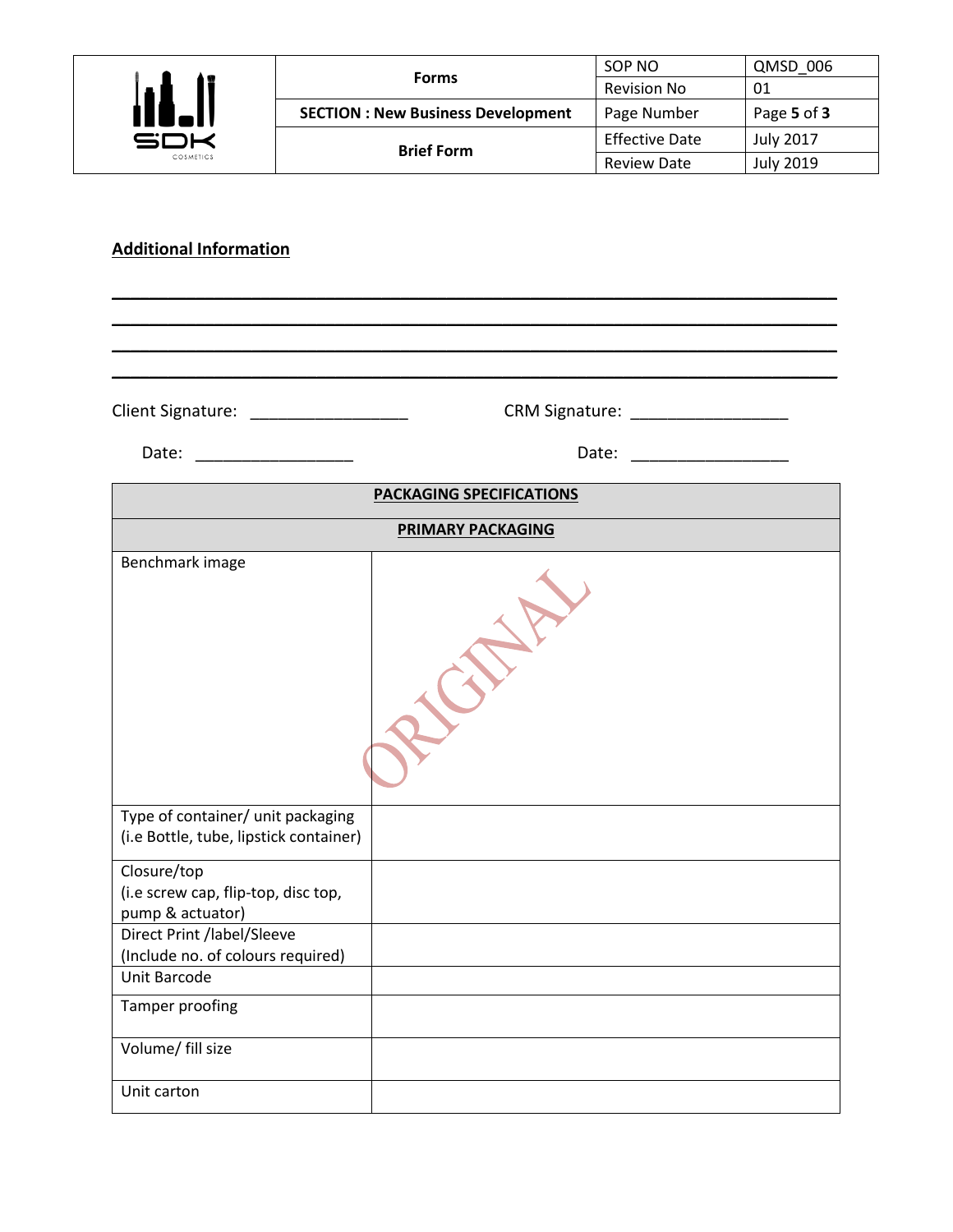

|                                          | SOP NO                | QMSD 006         |
|------------------------------------------|-----------------------|------------------|
| <b>Forms</b>                             | <b>Revision No</b>    | 01               |
| <b>SECTION: New Business Development</b> | Page Number           | Page 5 of 3      |
| <b>Brief Form</b>                        | <b>Effective Date</b> | <b>July 2017</b> |
|                                          | <b>Review Date</b>    | <b>July 2019</b> |

## **Additional Information**

Client Signature: \_\_\_\_\_\_\_\_\_\_\_\_\_\_\_\_\_ CRM Signature: \_\_\_\_\_\_\_\_\_\_\_\_\_\_\_\_\_

Date: \_\_\_\_\_\_\_\_\_\_\_\_\_\_\_\_\_ Date: \_\_\_\_\_\_\_\_\_\_\_\_\_\_\_\_\_

| <b>PACKAGING SPECIFICATIONS</b>                                             |  |
|-----------------------------------------------------------------------------|--|
| <b>PRIMARY PACKAGING</b>                                                    |  |
| Benchmark image                                                             |  |
| Type of container/ unit packaging<br>(i.e Bottle, tube, lipstick container) |  |
| Closure/top<br>(i.e screw cap, flip-top, disc top,<br>pump & actuator)      |  |
| Direct Print /label/Sleeve<br>(Include no. of colours required)             |  |
| Unit Barcode                                                                |  |
| Tamper proofing                                                             |  |
| Volume/ fill size                                                           |  |
| Unit carton                                                                 |  |

\_\_\_\_\_\_\_\_\_\_\_\_\_\_\_\_\_\_\_\_\_\_\_\_\_\_\_\_\_\_\_\_\_\_\_\_\_\_\_\_\_\_\_\_\_\_\_\_\_\_\_\_\_\_\_\_\_\_\_\_\_\_\_\_\_\_\_\_\_\_\_\_\_\_\_\_\_\_ \_\_\_\_\_\_\_\_\_\_\_\_\_\_\_\_\_\_\_\_\_\_\_\_\_\_\_\_\_\_\_\_\_\_\_\_\_\_\_\_\_\_\_\_\_\_\_\_\_\_\_\_\_\_\_\_\_\_\_\_\_\_\_\_\_\_\_\_\_\_\_\_\_\_\_\_\_\_ \_\_\_\_\_\_\_\_\_\_\_\_\_\_\_\_\_\_\_\_\_\_\_\_\_\_\_\_\_\_\_\_\_\_\_\_\_\_\_\_\_\_\_\_\_\_\_\_\_\_\_\_\_\_\_\_\_\_\_\_\_\_\_\_\_\_\_\_\_\_\_\_\_\_\_\_\_\_ \_\_\_\_\_\_\_\_\_\_\_\_\_\_\_\_\_\_\_\_\_\_\_\_\_\_\_\_\_\_\_\_\_\_\_\_\_\_\_\_\_\_\_\_\_\_\_\_\_\_\_\_\_\_\_\_\_\_\_\_\_\_\_\_\_\_\_\_\_\_\_\_\_\_\_\_\_\_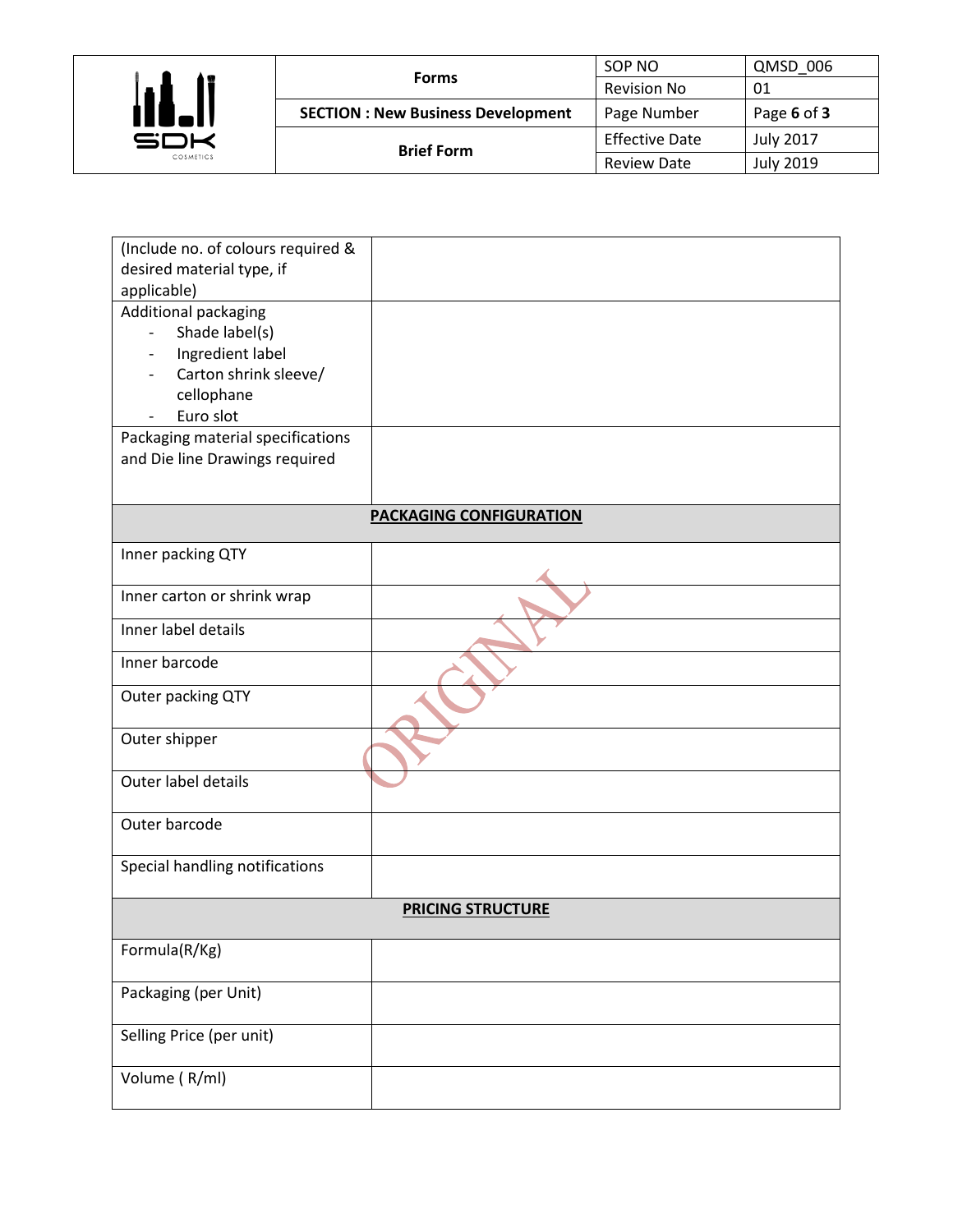

| <b>Forms</b>                             | SOP NO                | QMSD 006         |
|------------------------------------------|-----------------------|------------------|
|                                          | <b>Revision No</b>    | 01               |
| <b>SECTION: New Business Development</b> | Page Number           | Page 6 of 3      |
| <b>Brief Form</b>                        | <b>Effective Date</b> | <b>July 2017</b> |
|                                          | <b>Review Date</b>    | <b>July 2019</b> |

| (Include no. of colours required &    |                                |
|---------------------------------------|--------------------------------|
| desired material type, if             |                                |
| applicable)                           |                                |
| Additional packaging                  |                                |
| Shade label(s)                        |                                |
| Ingredient label                      |                                |
| Carton shrink sleeve/                 |                                |
| cellophane                            |                                |
| Euro slot<br>$\overline{\phantom{a}}$ |                                |
| Packaging material specifications     |                                |
| and Die line Drawings required        |                                |
|                                       |                                |
|                                       | <b>PACKAGING CONFIGURATION</b> |
| Inner packing QTY                     |                                |
|                                       |                                |
| Inner carton or shrink wrap           |                                |
| Inner label details                   |                                |
| Inner barcode                         |                                |
| Outer packing QTY                     |                                |
| Outer shipper                         |                                |
| Outer label details                   |                                |
| Outer barcode                         |                                |
| Special handling notifications        |                                |
|                                       | <b>PRICING STRUCTURE</b>       |
| Formula(R/Kg)                         |                                |
| Packaging (per Unit)                  |                                |
| Selling Price (per unit)              |                                |
| Volume (R/ml)                         |                                |